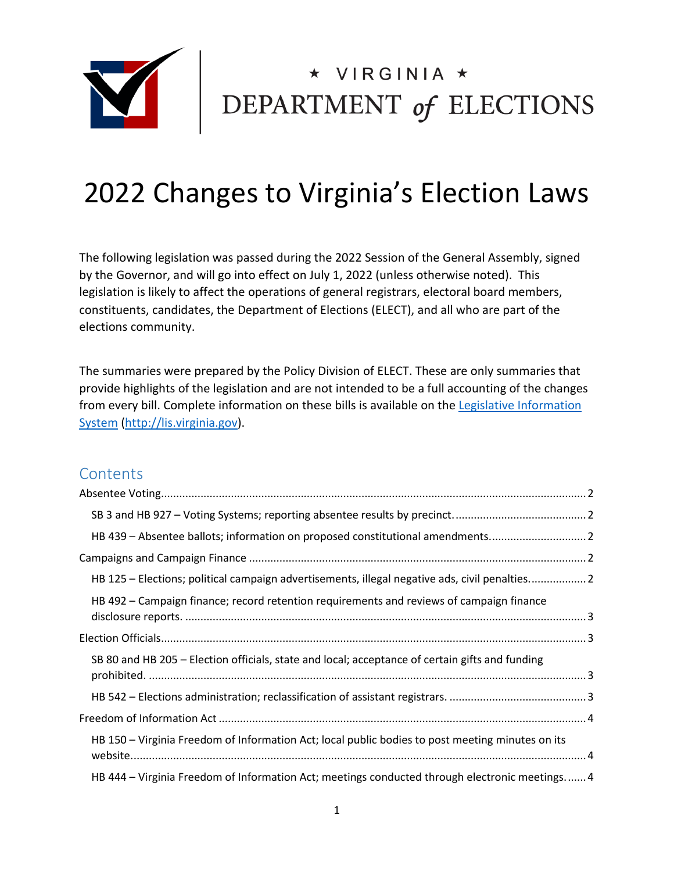

# \* VIRGINIA \*<br>DEPARTMENT of ELECTIONS

# 2022 Changes to Virginia's Election Laws

The following legislation was passed during the 2022 Session of the General Assembly, signed by the Governor, and will go into effect on July 1, 2022 (unless otherwise noted). This legislation is likely to affect the operations of general registrars, electoral board members, constituents, candidates, the Department of Elections (ELECT), and all who are part of the elections community.

The summaries were prepared by the Policy Division of ELECT. These are only summaries that provide highlights of the legislation and are not intended to be a full accounting of the changes from every bill. Complete information on these bills is available on the Legislative Information [System](https://lis.virginia.gov/) [\(http://lis.virginia.gov\)](http://lis.virginia.gov/).

### **Contents**

|  | HB 439 - Absentee ballots; information on proposed constitutional amendments                     |  |
|--|--------------------------------------------------------------------------------------------------|--|
|  |                                                                                                  |  |
|  | HB 125 - Elections; political campaign advertisements, illegal negative ads, civil penalties2    |  |
|  | HB 492 – Campaign finance; record retention requirements and reviews of campaign finance         |  |
|  |                                                                                                  |  |
|  | SB 80 and HB 205 – Election officials, state and local; acceptance of certain gifts and funding  |  |
|  |                                                                                                  |  |
|  |                                                                                                  |  |
|  | HB 150 - Virginia Freedom of Information Act; local public bodies to post meeting minutes on its |  |
|  | HB 444 – Virginia Freedom of Information Act; meetings conducted through electronic meetings 4   |  |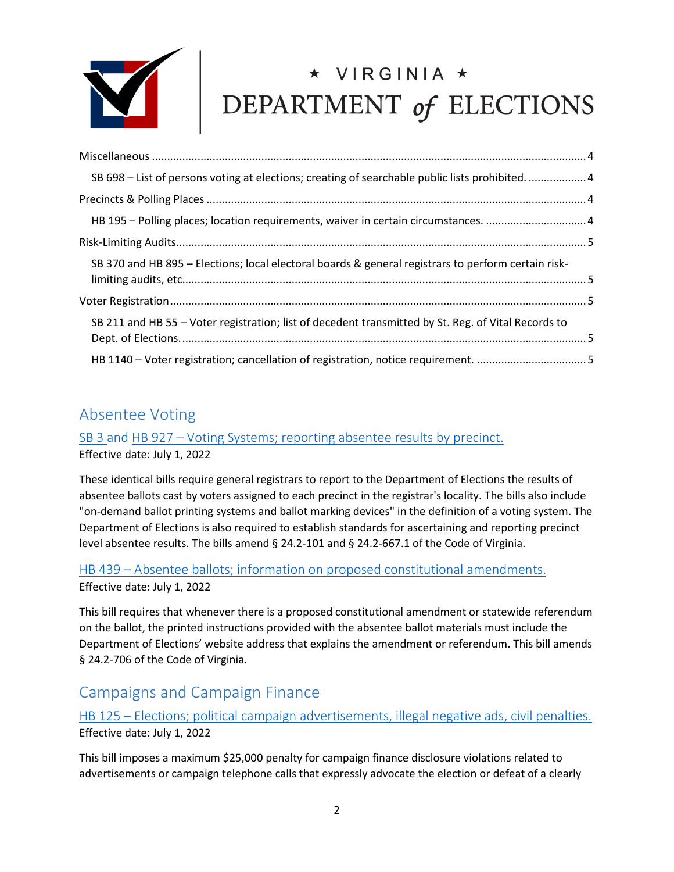

# $\begin{array}{|c|c|c|c|}\n\hline\n&\star&\;\text{VIRGINIA}\;\star\\ \n\text{DEPENDMENT of ELECTIONS}\n\end{array}$

| SB 698 – List of persons voting at elections; creating of searchable public lists prohibited4       |  |  |
|-----------------------------------------------------------------------------------------------------|--|--|
|                                                                                                     |  |  |
| HB 195 - Polling places; location requirements, waiver in certain circumstances.  4                 |  |  |
|                                                                                                     |  |  |
| SB 370 and HB 895 - Elections; local electoral boards & general registrars to perform certain risk- |  |  |
|                                                                                                     |  |  |
| SB 211 and HB 55 - Voter registration; list of decedent transmitted by St. Reg. of Vital Records to |  |  |
|                                                                                                     |  |  |

## <span id="page-1-0"></span>Absentee Votin[g](https://lis.virginia.gov/cgi-bin/legp604.exe?221+sum+SB3)

#### <span id="page-1-1"></span>[SB 3](https://lis.virginia.gov/cgi-bin/legp604.exe?221+sum+SB3) and [HB 927 – Voting Systems; reporting absentee results by precinct.](https://lis.virginia.gov/cgi-bin/legp604.exe?221+sum+HB927) Effective date: July 1, 2022

These identical bills require general registrars to report to the Department of Elections the results of absentee ballots cast by voters assigned to each precinct in the registrar's locality. The bills also include "on-demand ballot printing systems and ballot marking devices" in the definition of a voting system. The Department of Elections is also required to establish standards for ascertaining and reporting precinct level absentee results. The bills amend § 24.2-101 and § 24.2-667.1 of the Code of Virginia.

<span id="page-1-2"></span>[HB 439 – Absentee ballots; information on proposed constitutional amendments.](https://lis.virginia.gov/cgi-bin/legp604.exe?221+sum+HB439)  Effective date: July 1, 2022

This bill requires that whenever there is a proposed constitutional amendment or statewide referendum on the ballot, the printed instructions provided with the absentee ballot materials must include the Department of Elections' website address that explains the amendment or referendum. This bill amends § 24.2-706 of the Code of Virginia.

### <span id="page-1-3"></span>Campaigns and Campaign Finance

### <span id="page-1-4"></span>[HB 125 – Elections; political campaign advertisements, illegal negative ads, civil penalties.](https://lis.virginia.gov/cgi-bin/legp604.exe?221+sum+HB125) Effective date: July 1, 2022

This bill imposes a maximum \$25,000 penalty for campaign finance disclosure violations related to advertisements or campaign telephone calls that expressly advocate the election or defeat of a clearly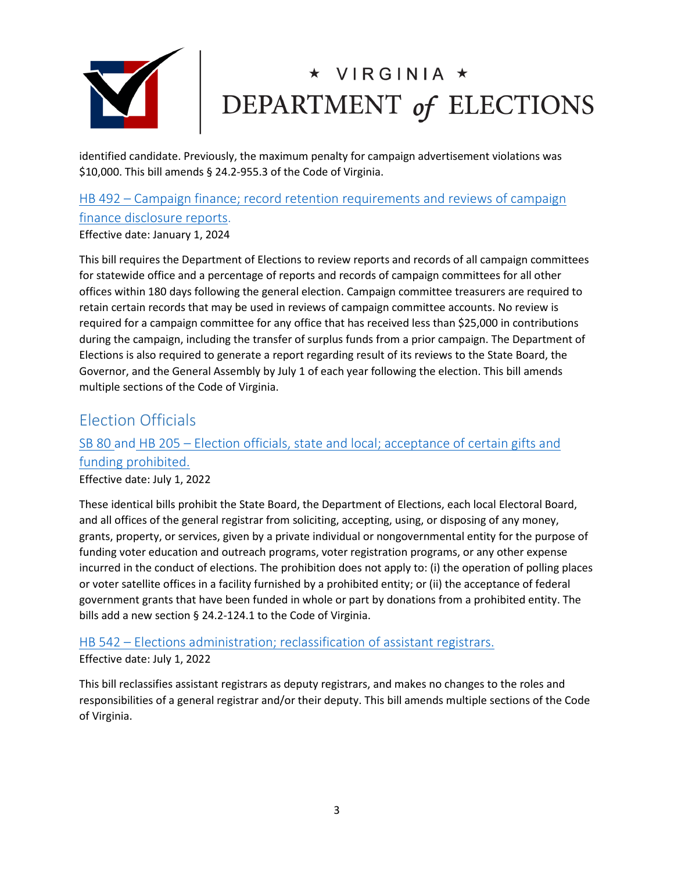

# ★ VIRGINIA ★ DEPARTMENT of ELECTIONS

identified candidate. Previously, the maximum penalty for campaign advertisement violations was \$10,000. This bill amends § 24.2-955.3 of the Code of Virginia.

#### <span id="page-2-0"></span>[HB 492 – Campaign finance; record retention requirements and reviews of campaign](https://lis.virginia.gov/cgi-bin/legp604.exe?221+sum+HB492)  [finance disclosure reports.](https://lis.virginia.gov/cgi-bin/legp604.exe?221+sum+HB492) Effective date: January 1, 2024

This bill requires the Department of Elections to review reports and records of all campaign committees for statewide office and a percentage of reports and records of campaign committees for all other offices within 180 days following the general election. Campaign committee treasurers are required to retain certain records that may be used in reviews of campaign committee accounts. No review is required for a campaign committee for any office that has received less than \$25,000 in contributions during the campaign, including the transfer of surplus funds from a prior campaign. The Department of Elections is also required to generate a report regarding result of its reviews to the State Board, the Governor, and the General Assembly by July 1 of each year following the election. This bill amends multiple sections of the Code of Virginia.

### <span id="page-2-1"></span>Election Officials

## <span id="page-2-2"></span>[SB 80](https://lis.virginia.gov/cgi-bin/legp604.exe?221+sum+SB80) and [HB 205 – Election officials, state and local; acceptance of certain gifts and](https://lis.virginia.gov/cgi-bin/legp604.exe?221+sum+HB205)  [funding prohibited.](https://lis.virginia.gov/cgi-bin/legp604.exe?221+sum+HB205)

Effective date: July 1, 2022

These identical bills prohibit the State Board, the Department of Elections, each local Electoral Board, and all offices of the general registrar from soliciting, accepting, using, or disposing of any money, grants, property, or services, given by a private individual or nongovernmental entity for the purpose of funding voter education and outreach programs, voter registration programs, or any other expense incurred in the conduct of elections. The prohibition does not apply to: (i) the operation of polling places or voter satellite offices in a facility furnished by a prohibited entity; or (ii) the acceptance of federal government grants that have been funded in whole or part by donations from a prohibited entity. The bills add a new section § 24.2-124.1 to the Code of Virginia.

#### <span id="page-2-3"></span>[HB 542 – Elections administration; reclassification of assistant registrars.](https://lis.virginia.gov/cgi-bin/legp604.exe?221+sum+HB542) Effective date: July 1, 2022

This bill reclassifies assistant registrars as deputy registrars, and makes no changes to the roles and responsibilities of a general registrar and/or their deputy. This bill amends multiple sections of the Code of Virginia.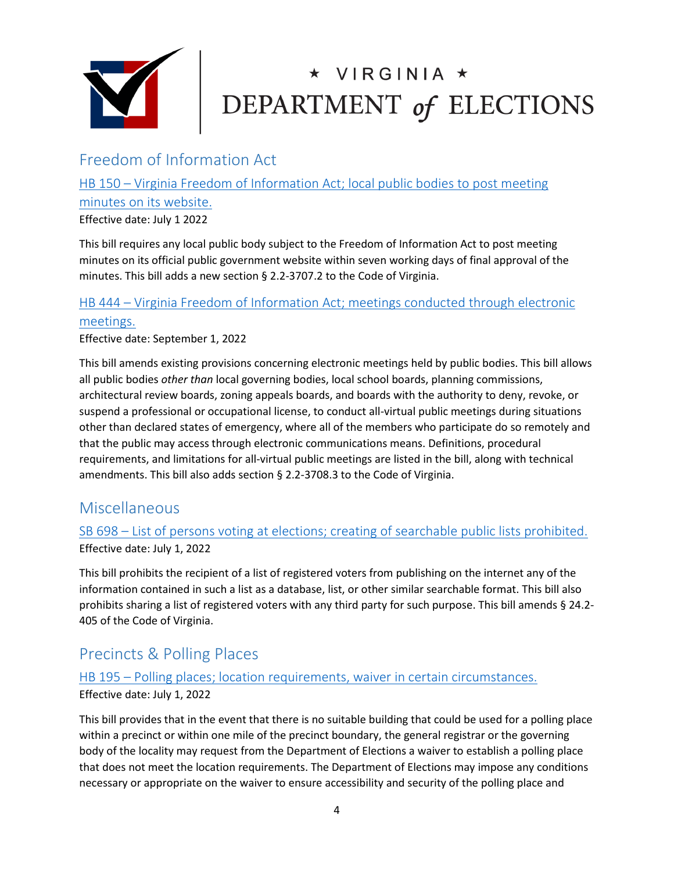

# ★ VIRGINIA ★ DEPARTMENT of ELECTIONS

### <span id="page-3-0"></span>Freedom of Information Act

<span id="page-3-1"></span>[HB 150 – Virginia Freedom of Information Act; local public bodies to post meeting](https://lis.virginia.gov/cgi-bin/legp604.exe?221+sum+HB150)  [minutes on its website.](https://lis.virginia.gov/cgi-bin/legp604.exe?221+sum+HB150)

Effective date: July 1 2022

This bill requires any local public body subject to the Freedom of Information Act to post meeting minutes on its official public government website within seven working days of final approval of the minutes. This bill adds a new section § 2.2-3707.2 to the Code of Virginia.

### <span id="page-3-2"></span>[HB 444 – Virginia Freedom of Information Act; meetings conducted through electronic](https://lis.virginia.gov/cgi-bin/legp604.exe?221+sum+HB444)  [meetings.](https://lis.virginia.gov/cgi-bin/legp604.exe?221+sum+HB444)

Effective date: September 1, 2022

This bill amends existing provisions concerning electronic meetings held by public bodies. This bill allows all public bodies *other than* local governing bodies, local school boards, planning commissions, architectural review boards, zoning appeals boards, and boards with the authority to deny, revoke, or suspend a professional or occupational license, to conduct all-virtual public meetings during situations other than declared states of emergency, where all of the members who participate do so remotely and that the public may access through electronic communications means. Definitions, procedural requirements, and limitations for all-virtual public meetings are listed in the bill, along with technical amendments. This bill also adds section § 2.2-3708.3 to the Code of Virginia.

### <span id="page-3-3"></span>Miscellaneous

<span id="page-3-4"></span>[SB 698 – List of persons voting at elections; creating of searchable public lists prohibited.](https://lis.virginia.gov/cgi-bin/legp604.exe?221+sum+SB698&221+sum+SB698) Effective date: July 1, 2022

This bill prohibits the recipient of a list of registered voters from publishing on the internet any of the information contained in such a list as a database, list, or other similar searchable format. This bill also prohibits sharing a list of registered voters with any third party for such purpose. This bill amends § 24.2- 405 of the Code of Virginia.

### <span id="page-3-5"></span>Precincts & Polling Places

#### <span id="page-3-6"></span>[HB 195 – Polling places; location requirements, waiver in certain circumstances.](https://lis.virginia.gov/cgi-bin/legp604.exe?221+sum+HB195) Effective date: July 1, 2022

This bill provides that in the event that there is no suitable building that could be used for a polling place within a precinct or within one mile of the precinct boundary, the general registrar or the governing body of the locality may request from the Department of Elections a waiver to establish a polling place that does not meet the location requirements. The Department of Elections may impose any conditions necessary or appropriate on the waiver to ensure accessibility and security of the polling place and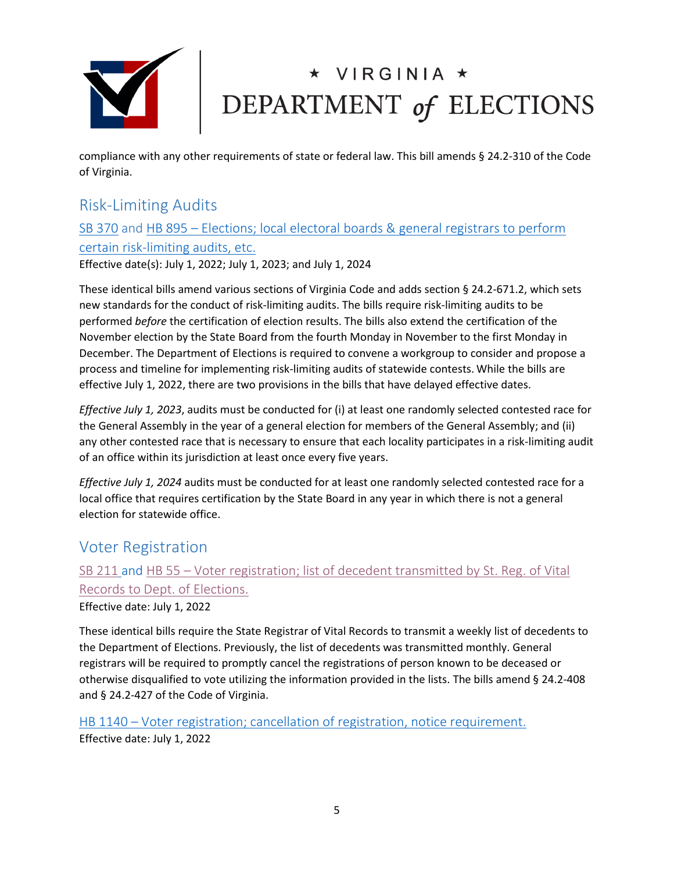

# ★ VIRGINIA ★ DEPARTMENT of ELECTIONS

compliance with any other requirements of state or federal law. This bill amends § 24.2-310 of the Code of Virginia.

### <span id="page-4-0"></span>Risk-Limiting Audits

<span id="page-4-1"></span>[SB 370](https://lis.virginia.gov/cgi-bin/legp604.exe?221+sum+SB370) and [HB 895 – Elections; local electoral boards & general registrars to perform](https://lis.virginia.gov/cgi-bin/legp604.exe?221+sum+HB895)  [certain risk-limiting audits, etc.](https://lis.virginia.gov/cgi-bin/legp604.exe?221+sum+HB895)

Effective date(s): July 1, 2022; July 1, 2023; and July 1, 2024

These identical bills amend various sections of Virginia Code and adds section § 24.2-671.2, which sets new standards for the conduct of risk-limiting audits. The bills require risk-limiting audits to be performed *before* the certification of election results. The bills also extend the certification of the November election by the State Board from the fourth Monday in November to the first Monday in December. The Department of Elections is required to convene a workgroup to consider and propose a process and timeline for implementing risk-limiting audits of statewide contests. While the bills are effective July 1, 2022, there are two provisions in the bills that have delayed effective dates.

*Effective July 1, 2023*, audits must be conducted for (i) at least one randomly selected contested race for the General Assembly in the year of a general election for members of the General Assembly; and (ii) any other contested race that is necessary to ensure that each locality participates in a risk-limiting audit of an office within its jurisdiction at least once every five years.

*Effective July 1, 2024* audits must be conducted for at least one randomly selected contested race for a local office that requires certification by the State Board in any year in which there is not a general election for statewide office.

### <span id="page-4-2"></span>Voter Registration

### <span id="page-4-3"></span>[SB 211](https://lis.virginia.gov/cgi-bin/legp604.exe?221+sum+SB211) and [HB 55 – Voter registration; list of decedent transmitted by St. Reg. of Vital](https://lis.virginia.gov/cgi-bin/legp604.exe?ses=221&typ=bil&val=HB55)  [Records to Dept. of Elections.](https://lis.virginia.gov/cgi-bin/legp604.exe?ses=221&typ=bil&val=HB55)

Effective date: July 1, 2022

These identical bills require the State Registrar of Vital Records to transmit a weekly list of decedents to the Department of Elections. Previously, the list of decedents was transmitted monthly. General registrars will be required to promptly cancel the registrations of person known to be deceased or otherwise disqualified to vote utilizing the information provided in the lists. The bills amend § 24.2-408 and § 24.2-427 of the Code of Virginia.

<span id="page-4-4"></span>[HB 1140 – Voter registration; cancellation of registration, notice requirement.](https://lis.virginia.gov/cgi-bin/legp604.exe?221+sum+HB1140) Effective date: July 1, 2022